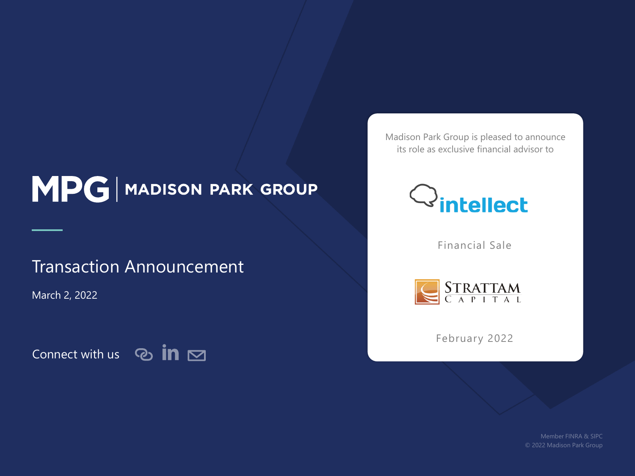# MPG | MADISON PARK GROUP

### Transaction Announcement

March 2, 2022

Connect with us  $\odot$  in  $\boxdot$ 

Madison Park Group is pleased to announce its role as exclusive financial advisor to



Financial Sale



February 2022

Member FINRA & SIPC © 2022 Madison Park Group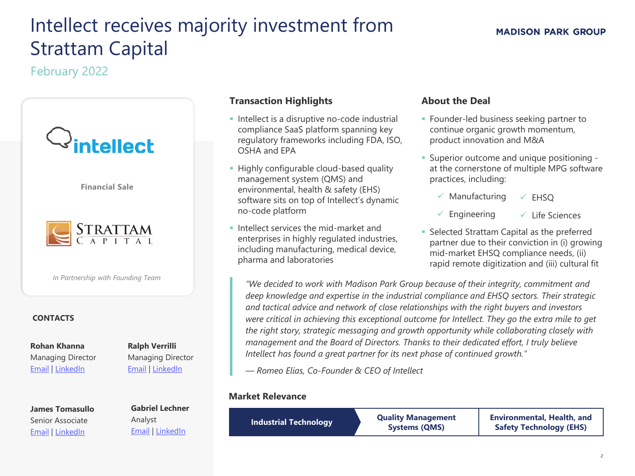# Intellect receives majority investment from Strattam Capital

February 2022

[Email](mailto:jtomasullo@madisonparkgrp.com) | [LinkedIn](https://www.linkedin.com/in/jamestomasullo/)



[Email](mailto:glechner@madisonparkgrp.com) | LinkedIn

### **Transaction Highlights**

- **·** Intellect is a disruptive no-code industrial compliance SaaS platform spanning key regulatory frameworks including FDA, ISO, OSHA and EPA
- **EXTEND** Highly configurable cloud-based quality management system (QMS) and environmental, health & safety (EHS) software sits on top of Intellect's dynamic no-code platform
- **Intellect services the mid-market and** enterprises in highly regulated industries, including manufacturing, medical device, pharma and laboratories

#### **About the Deal**

- **EXECUTE:** Founder-led business seeking partner to continue organic growth momentum, product innovation and M&A
- **Example 1** Superior outcome and unique positioning at the cornerstone of multiple MPG software practices, including:
	- $\checkmark$  Manufacturing ✓ EHSQ
	- $\checkmark$  Engineering ✓ Life Sciences
- Selected Strattam Capital as the preferred partner due to their conviction in (i) growing mid-market EHSQ compliance needs, (ii) rapid remote digitization and (iii) cultural fit

*"We decided to work with Madison Park Group because of their integrity, commitment and deep knowledge and expertise in the industrial compliance and EHSQ sectors. Their strategic and tactical advice and network of close relationships with the right buyers and investors were critical in achieving this exceptional outcome for Intellect. They go the extra mile to get the right story, strategic messaging and growth opportunity while collaborating closely with management and the Board of Directors. Thanks to their dedicated effort, I truly believe Intellect has found a great partner for its next phase of continued growth."*

*— Romeo Elias, Co-Founder & CEO of Intellect*

#### **Market Relevance**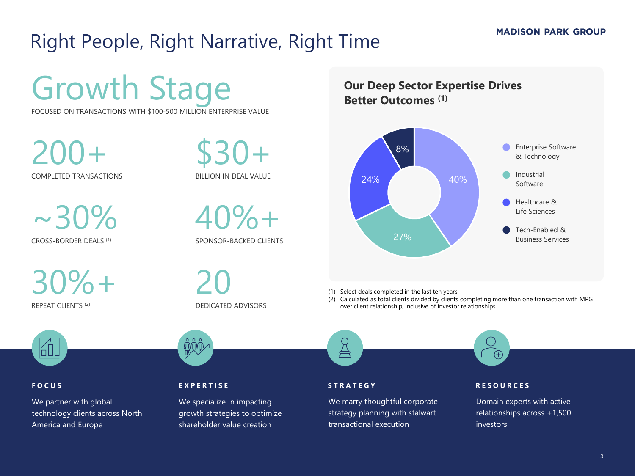#### **MADISON PARK GROUP**

# Right People, Right Narrative, Right Time

Growth Stage

FOCUSED ON TRANSACTIONS WITH \$100-500 MILLION ENTERPRISE VALUE

200+ COMPLETED TRANSACTIONS

 $\sim$ 30% CROSS-BORDER DEALS (1)

\$30+ BILLION IN DEAL VALUE

 $\sqrt{2}$ 

SPONSOR-BACKED CLIENTS

DEDICATED ADVISORS

30%+ REPEAT CLIENTS (2)



We partner with global technology clients across North America and Europe

#### **F O C U S E X P E R T I S E S T R A T E G Y**

20

We specialize in impacting growth strategies to optimize shareholder value creation

**Our Deep Sector Expertise Drives Better Outcomes (1)**



(1) Select deals completed in the last ten years

(2) Calculated as total clients divided by clients completing more than one transaction with MPG over client relationship, inclusive of investor relationships



We marry thoughtful corporate strategy planning with stalwart transactional execution

#### **R E S O U R C E S**

Domain experts with active relationships across +1,500 investors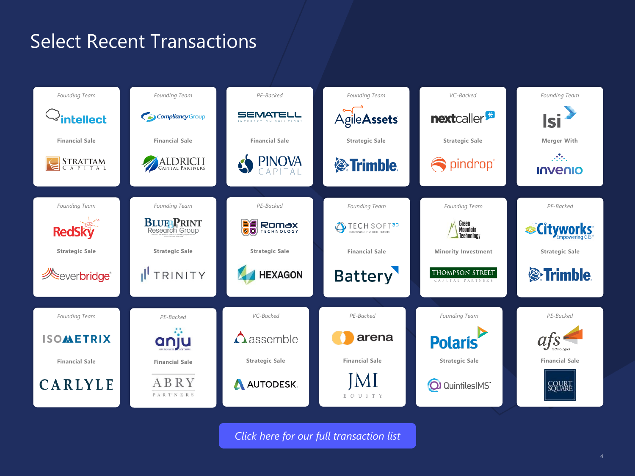# Select Recent Transactions

| Founding Team                  | Founding Team                       | PE-Backed                                | Founding Team                                                   | VC-Backed                                 | Founding Team                                 |
|--------------------------------|-------------------------------------|------------------------------------------|-----------------------------------------------------------------|-------------------------------------------|-----------------------------------------------|
| <b>intellect</b>               | Compliancy Group                    | <b>SEMATELL</b><br>INTERACTION SOLUTIONS | <b>AgileAssets</b>                                              | nextcaller <sup>\$</sup>                  | lsi ʻ                                         |
| <b>Financial Sale</b>          | <b>Financial Sale</b>               | <b>Financial Sale</b>                    | <b>Strategic Sale</b>                                           | <b>Strategic Sale</b>                     | <b>Merger With</b>                            |
| <b>STRATTAM</b><br>A P I T A L | ALDRICH                             | <b>PINOVA</b>                            | <b><i>S</i></b> -Trimble.                                       | pindrop                                   | $\mathcal{L}^{\mathcal{P}}$<br><b>INVENIO</b> |
| Founding Team                  | Founding Team                       | PE-Backed                                | Founding Team                                                   | Founding Team                             | PE-Backed                                     |
| <b>RedSky</b>                  | <b>BLUE-PRINT</b><br>Research Group | Romax<br>তত<br><b>TECHNOLOGY</b>         | <b>DECH</b> SOFT <sup>3D</sup><br>Decendable, Dynamic, Durable, | Green<br>Mountain<br>Technology           | <b>Cityworks</b>                              |
| <b>Strategic Sale</b>          | <b>Strategic Sale</b>               | <b>Strategic Sale</b>                    | <b>Financial Sale</b>                                           | <b>Minority Investment</b>                | <b>Strategic Sale</b>                         |
| <b>Everbridge</b> ®            | TRINITY                             | <b>HEXAGON</b>                           | <b>Battery</b>                                                  | <b>THOMPSON STREET</b><br>CAPITAL PARTNER | <b>S</b> :Trimble.                            |
| Founding Team                  | PE-Backed                           | VC-Backed                                | PE-Backed                                                       | Founding Team                             | PE-Backed                                     |
| <b>ISOMETRIX</b>               | anju                                | $\Delta$ assemble                        | arena                                                           | <b>Polaris</b>                            |                                               |
| <b>Financial Sale</b>          | <b>Financial Sale</b>               | <b>Strategic Sale</b>                    | <b>Financial Sale</b>                                           | <b>Strategic Sale</b>                     | <b>Financial Sale</b>                         |
| <b>CARLYLE</b>                 | ABRY<br>PARTNERS                    | AUTODESK                                 | EQUITY                                                          | <b>Q</b> ) QuintilesIMS                   | COURT<br>SOUARE                               |

*[Click here for our full transaction list](https://www.madisonparkgrp.com/transactions/)*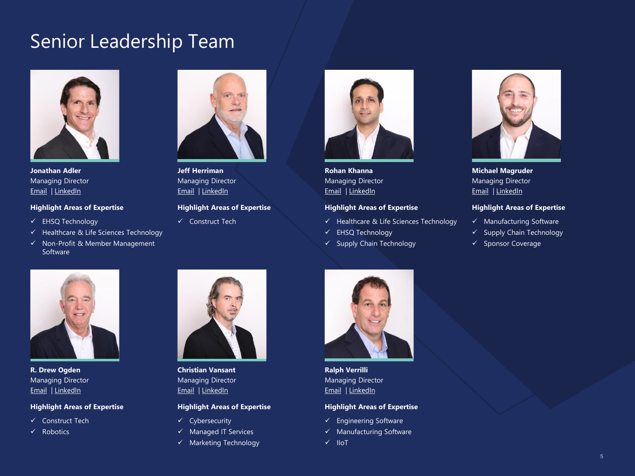### Senior Leadership Team



**Jonathan Adler** Managing Director [Email](mailto:jadler@madisonparkgrp.com) | [LinkedIn](https://www.linkedin.com/in/jonathan-adler-7107b34/)

#### **Highlight Areas of Expertise**

- ✓ EHSQ Technology
- ✓ Healthcare & Life Sciences Technology
- ✓ Non-Profit & Member Management **Software**



**Jeff Herriman** Managing Director [Email](mailto:jherriman@madisonparkgrp.com) | [LinkedIn](https://www.linkedin.com/in/jshcorpdev/)

#### **Highlight Areas of Expertise**

✓ Construct Tech



**Rohan Khanna** Managing Director [Email](mailto:rkhanna@madisonparkgrp.com) | [LinkedIn](https://www.linkedin.com/in/rohan-khanna-18788bb/)

#### **Highlight Areas of Expertise**

- ✓ Healthcare & Life Sciences Technology
- ✓ EHSQ Technology
- ✓ Supply Chain Technology



**Michael Magruder** Managing Director [Email](mailto:mmagruder@madisonparkgrp.com) | [LinkedIn](https://www.linkedin.com/in/mmmagruder/)

#### **Highlight Areas of Expertise**

- ✓ Manufacturing Software
- ✓ Supply Chain Technology
- ✓ Sponsor Coverage



**R. Drew Ogden** Managing Director [Email](mailto:dogden@madisonparkgrp.com) | [LinkedIn](https://www.linkedin.com/in/rdrewogden/)

#### **Highlight Areas of Expertise**

- ✓ Construct Tech
- ✓ Robotics



**Christian Vansant** Managing Director [Email](mailto:cvansant@madisonparkgrp.com) | [LinkedIn](https://www.linkedin.com/in/christianvansant/)

#### **Highlight Areas of Expertise**

- ✓ Cybersecurity
- ✓ Managed IT Services
- ✓ Marketing Technology



**Ralph Verrilli** Managing Director [Email](mailto:rverilli@madisonparkgrp.com) | [LinkedIn](https://www.linkedin.com/in/ralphverrilli/)

#### **Highlight Areas of Expertise**

- ✓ Engineering Software
- ✓ Manufacturing Software
- ✓ IIoT